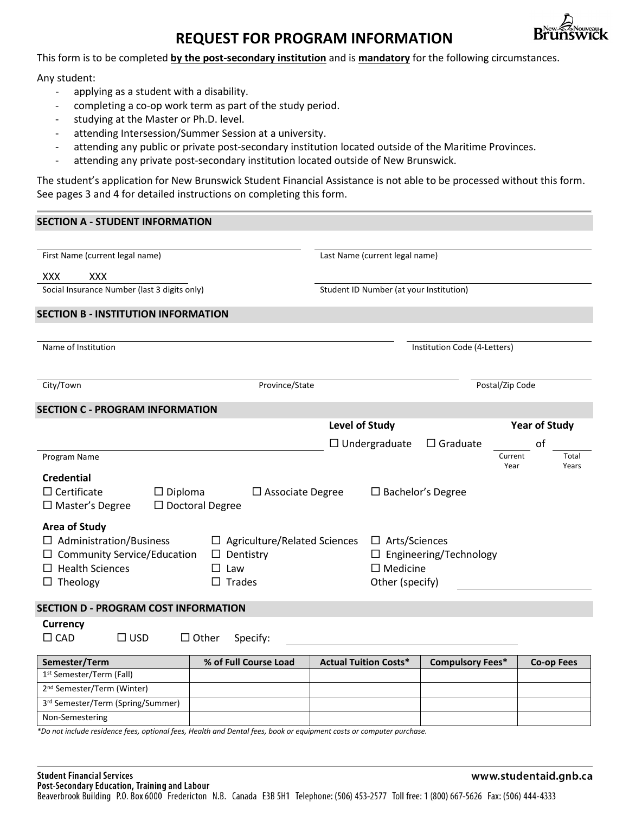# **REQUEST FOR PROGRAM INFORMATION**



This form is to be completed **by the post-secondary institution** and is **mandatory** for the following circumstances.

Any student:

- applying as a student with a disability.
- completing a co-op work term as part of the study period.
- studying at the Master or Ph.D. level.
- attending Intersession/Summer Session at a university.
- attending any public or private post-secondary institution located outside of the Maritime Provinces.
- attending any private post-secondary institution located outside of New Brunswick.

The student's application for New Brunswick Student Financial Assistance is not able to be processed without this form. See pages 3 and 4 for detailed instructions on completing this form.

#### **SECTION A - STUDENT INFORMATION**

| First Name (current legal name)                                                                                                           | Last Name (current legal name)                                                                                                        |                              |  |                              |                                   |  |  |
|-------------------------------------------------------------------------------------------------------------------------------------------|---------------------------------------------------------------------------------------------------------------------------------------|------------------------------|--|------------------------------|-----------------------------------|--|--|
| XXX<br><b>XXX</b>                                                                                                                         |                                                                                                                                       |                              |  |                              |                                   |  |  |
| Social Insurance Number (last 3 digits only)                                                                                              | Student ID Number (at your Institution)                                                                                               |                              |  |                              |                                   |  |  |
| <b>SECTION B - INSTITUTION INFORMATION</b>                                                                                                |                                                                                                                                       |                              |  |                              |                                   |  |  |
|                                                                                                                                           |                                                                                                                                       |                              |  |                              |                                   |  |  |
| Name of Institution                                                                                                                       |                                                                                                                                       |                              |  | Institution Code (4-Letters) |                                   |  |  |
| City/Town                                                                                                                                 | Province/State                                                                                                                        |                              |  | Postal/Zip Code              |                                   |  |  |
| <b>SECTION C - PROGRAM INFORMATION</b>                                                                                                    |                                                                                                                                       |                              |  |                              |                                   |  |  |
|                                                                                                                                           |                                                                                                                                       | <b>Level of Study</b>        |  |                              | <b>Year of Study</b>              |  |  |
|                                                                                                                                           |                                                                                                                                       | $\Box$ Undergraduate         |  | $\Box$ Graduate              | of                                |  |  |
| Program Name                                                                                                                              |                                                                                                                                       |                              |  |                              | Current<br>Total<br>Years<br>Year |  |  |
| <b>Credential</b><br>$\Box$ Certificate<br>$\Box$ Diploma<br>$\square$ Doctoral Degree<br>$\Box$ Master's Degree                          | $\Box$ Associate Degree                                                                                                               |                              |  | $\Box$ Bachelor's Degree     |                                   |  |  |
| <b>Area of Study</b><br>$\Box$ Administration/Business<br>$\Box$ Community Service/Education<br>$\Box$ Health Sciences<br>$\Box$ Theology | $\Box$ Arts/Sciences<br>$\Box$ Agriculture/Related Sciences<br>$\Box$ Engineering/Technology<br>$\square$ Medicine<br>Other (specify) |                              |  |                              |                                   |  |  |
| <b>SECTION D - PROGRAM COST INFORMATION</b>                                                                                               |                                                                                                                                       |                              |  |                              |                                   |  |  |
| <b>Currency</b><br>$\square$ CAD<br>$\square$ USD<br>$\Box$ Other                                                                         | Specify:                                                                                                                              |                              |  |                              |                                   |  |  |
| Semester/Term                                                                                                                             | % of Full Course Load                                                                                                                 | <b>Actual Tuition Costs*</b> |  | <b>Compulsory Fees*</b>      | <b>Co-op Fees</b>                 |  |  |
| 1st Semester/Term (Fall)                                                                                                                  |                                                                                                                                       |                              |  |                              |                                   |  |  |
| 2 <sup>nd</sup> Semester/Term (Winter)                                                                                                    |                                                                                                                                       |                              |  |                              |                                   |  |  |
| 3rd Semester/Term (Spring/Summer)                                                                                                         |                                                                                                                                       |                              |  |                              |                                   |  |  |
| Non-Semestering                                                                                                                           |                                                                                                                                       |                              |  |                              |                                   |  |  |
| *Do not include residence fees, optional fees, Health and Dental fees, book or equipment costs or computer purchase.                      |                                                                                                                                       |                              |  |                              |                                   |  |  |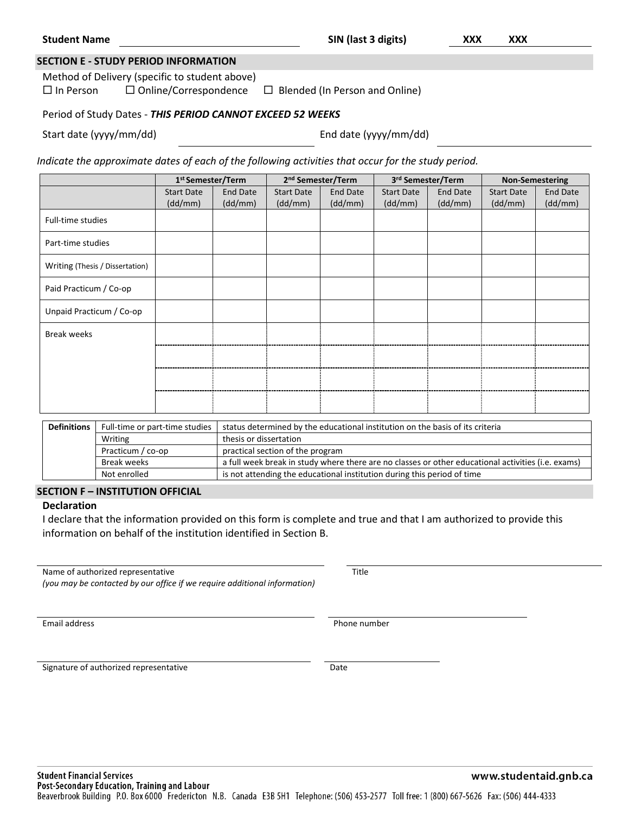|                         | <b>SECTION E - STUDY PERIOD INFORMATION</b>                |                                       |  |
|-------------------------|------------------------------------------------------------|---------------------------------------|--|
|                         | Method of Delivery (specific to student above)             |                                       |  |
| $\square$ In Person     | $\Box$ Online/Correspondence                               | $\Box$ Blended (In Person and Online) |  |
|                         | Period of Study Dates - THIS PERIOD CANNOT EXCEED 52 WEEKS |                                       |  |
| Start date (yyyy/mm/dd) |                                                            | End date (yyyy/mm/dd)                 |  |

|                                 | 1 <sup>st</sup> Semester/Term |                     | 2 <sup>nd</sup> Semester/Term |                     | 3rd Semester/Term            |                            | <b>Non-Semestering</b>       |                            |
|---------------------------------|-------------------------------|---------------------|-------------------------------|---------------------|------------------------------|----------------------------|------------------------------|----------------------------|
|                                 | <b>Start Date</b><br>(dd/mm)  | End Date<br>(dd/mm) | <b>Start Date</b><br>(dd/mm)  | End Date<br>(dd/mm) | <b>Start Date</b><br>(dd/mm) | <b>End Date</b><br>(dd/mm) | <b>Start Date</b><br>(dd/mm) | <b>End Date</b><br>(dd/mm) |
| Full-time studies               |                               |                     |                               |                     |                              |                            |                              |                            |
| Part-time studies               |                               |                     |                               |                     |                              |                            |                              |                            |
| Writing (Thesis / Dissertation) |                               |                     |                               |                     |                              |                            |                              |                            |
| Paid Practicum / Co-op          |                               |                     |                               |                     |                              |                            |                              |                            |
| Unpaid Practicum / Co-op        |                               |                     |                               |                     |                              |                            |                              |                            |
| <b>Break weeks</b>              |                               |                     |                               |                     |                              |                            |                              |                            |
|                                 |                               |                     |                               |                     |                              |                            |                              |                            |
|                                 |                               |                     |                               |                     |                              |                            |                              |                            |
|                                 |                               |                     |                               |                     |                              |                            |                              |                            |

| <b>Definitions</b> | Full-time or part-time studies | status determined by the educational institution on the basis of its criteria                      |  |  |  |
|--------------------|--------------------------------|----------------------------------------------------------------------------------------------------|--|--|--|
|                    | Writing                        | thesis or dissertation                                                                             |  |  |  |
|                    | Practicum / co-op              | practical section of the program                                                                   |  |  |  |
|                    | Break weeks                    | a full week break in study where there are no classes or other educational activities (i.e. exams) |  |  |  |
|                    | Not enrolled                   | is not attending the educational institution during this period of time                            |  |  |  |

#### **SECTION F – INSTITUTION OFFICIAL**

# **Declaration**

I declare that the information provided on this form is complete and true and that I am authorized to provide this information on behalf of the institution identified in Section B.

Name of authorized representative Title

*(you may be contacted by our office if we require additional information)*

Email address **Phone number** 

Signature of authorized representative Date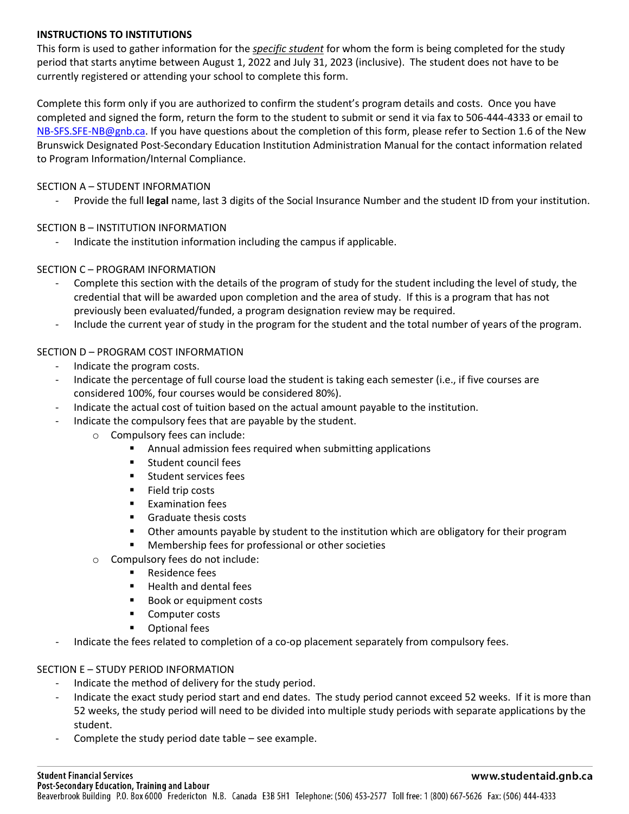## **INSTRUCTIONS TO INSTITUTIONS**

This form is used to gather information for the *specific student* for whom the form is being completed for the study period that starts anytime between August 1, 2022 and July 31, 2023 (inclusive). The student does not have to be currently registered or attending your school to complete this form.

Complete this form only if you are authorized to confirm the student's program details and costs. Once you have completed and signed the form, return the form to the student to submit or send it via fax to 506-444-4333 or email to [NB-SFS.SFE-NB@gnb.ca.](mailto:NB-SFS.SFE-NB@gnb.ca) If you have questions about the completion of this form, please refer to Section 1.6 of the New Brunswick Designated Post-Secondary Education Institution Administration Manual for the contact information related to Program Information/Internal Compliance.

### SECTION A – STUDENT INFORMATION

- Provide the full **legal** name, last 3 digits of the Social Insurance Number and the student ID from your institution.

## SECTION B – INSTITUTION INFORMATION

Indicate the institution information including the campus if applicable.

## SECTION C – PROGRAM INFORMATION

- Complete this section with the details of the program of study for the student including the level of study, the credential that will be awarded upon completion and the area of study. If this is a program that has not previously been evaluated/funded, a program designation review may be required.
- Include the current year of study in the program for the student and the total number of years of the program.

# SECTION D – PROGRAM COST INFORMATION

- Indicate the program costs.
- Indicate the percentage of full course load the student is taking each semester (i.e., if five courses are considered 100%, four courses would be considered 80%).
- Indicate the actual cost of tuition based on the actual amount payable to the institution.
	- Indicate the compulsory fees that are payable by the student.
		- o Compulsory fees can include:
			- Annual admission fees required when submitting applications
			- **Student council fees**
			- **Student services fees**
			- **Field trip costs**
			- **Examination fees**
			- **Graduate thesis costs**
			- Other amounts payable by student to the institution which are obligatory for their program
			- Membership fees for professional or other societies
		- o Compulsory fees do not include:
			- **Residence fees**
			- Health and dental fees
			- Book or equipment costs
			- **Computer costs**
			- Optional fees
	- Indicate the fees related to completion of a co-op placement separately from compulsory fees.

#### SECTION E – STUDY PERIOD INFORMATION

- Indicate the method of delivery for the study period.
- Indicate the exact study period start and end dates. The study period cannot exceed 52 weeks. If it is more than 52 weeks, the study period will need to be divided into multiple study periods with separate applications by the student.
- Complete the study period date table  $-$  see example.